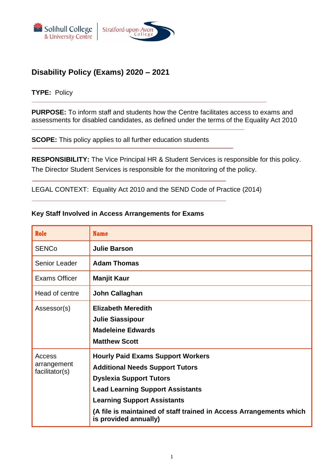<span id="page-0-0"></span>



## **Disability Policy (Exams) 2020 – 2021**

#### **TYPE:** Policy

**PURPOSE:** To inform staff and students how the Centre facilitates access to exams and assessments for disabled candidates, as defined under the terms of the Equality Act 2010

**SCOPE:** This policy applies to all further education students

**RESPONSIBILITY:** The Vice Principal HR & Student Services is responsible for this policy. The Director Student Services is responsible for the monitoring of the policy.

LEGAL CONTEXT: Equality Act 2010 and the SEND Code of Practice (2014)

#### **Key Staff Involved in Access Arrangements for Exams**

| <b>Role</b>                             | <b>Name</b>                                                                                                                                                                                                                                                                                           |
|-----------------------------------------|-------------------------------------------------------------------------------------------------------------------------------------------------------------------------------------------------------------------------------------------------------------------------------------------------------|
| <b>SENCo</b>                            | <b>Julie Barson</b>                                                                                                                                                                                                                                                                                   |
| Senior Leader                           | <b>Adam Thomas</b>                                                                                                                                                                                                                                                                                    |
| Exams Officer                           | Manjit Kaur                                                                                                                                                                                                                                                                                           |
| Head of centre                          | John Callaghan                                                                                                                                                                                                                                                                                        |
| Assessor(s)                             | <b>Elizabeth Meredith</b><br><b>Julie Siassipour</b><br><b>Madeleine Edwards</b><br><b>Matthew Scott</b>                                                                                                                                                                                              |
| Access<br>arrangement<br>facilitator(s) | <b>Hourly Paid Exams Support Workers</b><br><b>Additional Needs Support Tutors</b><br><b>Dyslexia Support Tutors</b><br><b>Lead Learning Support Assistants</b><br><b>Learning Support Assistants</b><br>(A file is maintained of staff trained in Access Arrangements which<br>is provided annually) |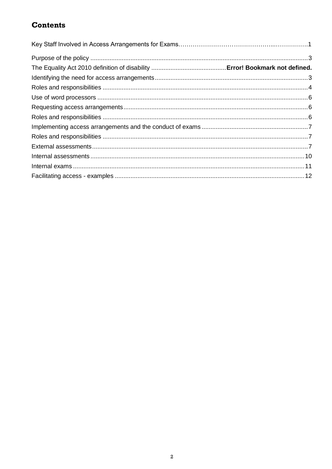# **Contents**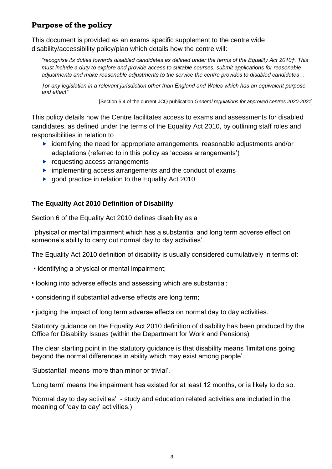## <span id="page-2-0"></span>**Purpose of the policy**

This document is provided as an exams specific supplement to the centre wide disability/accessibility policy/plan which details how the centre will:

*"recognise its duties towards disabled candidates as defined under the terms of the Equality Act 2010†. This must include a duty to explore and provide access to suitable courses, submit applications for reasonable adjustments and make reasonable adjustments to the service the centre provides to disabled candidates…*

*†or any legislation in a relevant jurisdiction other than England and Wales which has an equivalent purpose and effect"*

[Section 5.4 of the current JCQ publication *[General regulations for approved centres](http://www.jcq.org.uk/exams-office/general-regulations) 2020-2021*]

This policy details how the Centre facilitates access to exams and assessments for disabled candidates, as defined under the terms of the Equality Act 2010, by outlining staff roles and responsibilities in relation to

- $\blacktriangleright$  identifying the need for appropriate arrangements, reasonable adjustments and/or adaptations (referred to in this policy as 'access arrangements')
- $\blacktriangleright$  requesting access arrangements
- $\triangleright$  implementing access arrangements and the conduct of exams
- ▶ good practice in relation to the Equality Act 2010

### <span id="page-2-1"></span>**The Equality Act 2010 Definition of Disability**

Section 6 of the Equality Act 2010 defines disability as a

'physical or mental impairment which has a substantial and long term adverse effect on someone's ability to carry out normal day to day activities'.

The Equality Act 2010 definition of disability is usually considered cumulatively in terms of:

- identifying a physical or mental impairment;
- looking into adverse effects and assessing which are substantial;
- considering if substantial adverse effects are long term;
- judging the impact of long term adverse effects on normal day to day activities.

Statutory guidance on the Equality Act 2010 definition of disability has been produced by the Office for Disability Issues (within the Department for Work and Pensions)

The clear starting point in the statutory guidance is that disability means 'limitations going beyond the normal differences in ability which may exist among people'.

'Substantial' means 'more than minor or trivial'.

'Long term' means the impairment has existed for at least 12 months, or is likely to do so.

'Normal day to day activities' - study and education related activities are included in the meaning of 'day to day' activities.)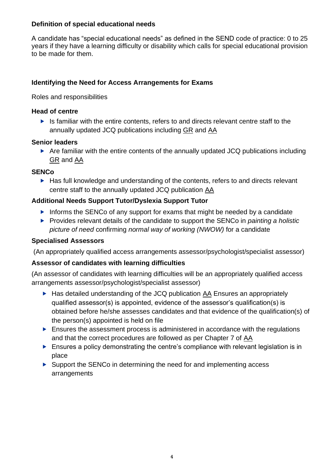#### **Definition of special educational needs**

A candidate has "special educational needs" as defined in the SEND code of practice: 0 to 25 years if they have a learning difficulty or disability which calls for special educational provision to be made for them.

### **Identifying the Need for Access Arrangements for Exams**

Roles and responsibilities

#### **Head of centre**

<span id="page-3-0"></span> $\blacktriangleright$  Is familiar with the entire contents, refers to and directs relevant centre staff to the annually updated JCQ publications including [GR](http://www.jcq.org.uk/exams-office/general-regulations) and [AA](http://www.jcq.org.uk/exams-office/access-arrangements-and-special-consideration/regulations-and-guidance)

#### **Senior leaders**

 Are familiar with the entire contents of the annually updated JCQ publications including [GR](http://www.jcq.org.uk/exams-office/general-regulations) and [AA](http://www.jcq.org.uk/exams-office/access-arrangements-and-special-consideration/regulations-and-guidance)

#### **SENCo**

▶ Has full knowledge and understanding of the contents, refers to and directs relevant centre staff to the annually updated JCQ publication [AA](http://www.jcq.org.uk/exams-office/access-arrangements-and-special-consideration/regulations-and-guidance)

### **Additional Needs Support Tutor/Dyslexia Support Tutor**

- Informs the SENCo of any support for exams that might be needed by a candidate
- ▶ Provides relevant details of the candidate to support the SENCo in *painting a holistic picture of need* confirming *normal way of working (NWOW)* for a candidate

### **Specialised Assessors**

(An appropriately qualified access arrangements assessor/psychologist/specialist assessor)

### **Assessor of candidates with learning difficulties**

(An assessor of candidates with learning difficulties will be an appropriately qualified access arrangements assessor/psychologist/specialist assessor)

- ▶ Has detailed understanding of the JCQ publication [AA](http://www.jcq.org.uk/exams-office/access-arrangements-and-special-consideration/regulations-and-guidance) Ensures an appropriately qualified assessor(s) is appointed, evidence of the assessor's qualification(s) is obtained before he/she assesses candidates and that evidence of the qualification(s) of the person(s) appointed is held on file
- Ensures the assessment process is administered in accordance with the regulations and that the correct procedures are followed as per Chapter 7 of [AA](http://www.jcq.org.uk/exams-office/access-arrangements-and-special-consideration/regulations-and-guidance)
- ▶ Ensures a policy demonstrating the centre's compliance with relevant legislation is in place
- ▶ Support the SENCo in determining the need for and implementing access arrangements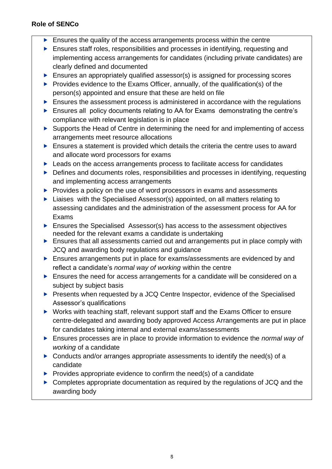### **Role of SENCo**

- $\blacktriangleright$  Ensures the quality of the access arrangements process within the centre
- Ensures staff roles, responsibilities and processes in identifying, requesting and implementing access arrangements for candidates (including private candidates) are clearly defined and documented
- **Ensures an appropriately qualified assessor(s) is assigned for processing scores**
- Provides evidence to the Exams Officer, annually, of the qualification(s) of the person(s) appointed and ensure that these are held on file
- ▶ Ensures the assessment process is administered in accordance with the regulations
- ▶ Ensures all policy documents relating to AA for Exams demonstrating the centre's compliance with relevant legislation is in place
- ▶ Supports the Head of Centre in determining the need for and implementing of access arrangements meet resource allocations
- Ensures a statement is provided which details the criteria the centre uses to award and allocate word processors for exams
- ▶ Leads on the access arrangements process to facilitate access for candidates
- ▶ Defines and documents roles, responsibilities and processes in identifying, requesting and implementing access arrangements
- $\blacktriangleright$  Provides a policy on the use of word processors in exams and assessments
- ▶ Liaises with the Specialised Assessor(s) appointed, on all matters relating to assessing candidates and the administration of the assessment process for AA for Exams
- ▶ Ensures the Specialised Assessor(s) has access to the assessment objectives needed for the relevant exams a candidate is undertaking
- Ensures that all assessments carried out and arrangements put in place comply with JCQ and awarding body regulations and guidance
- **Ensures arrangements put in place for exams/assessments are evidenced by and** reflect a candidate's *normal way of working* within the centre
- Ensures the need for access arrangements for a candidate will be considered on a subject by subject basis
- **Presents when requested by a JCQ Centre Inspector, evidence of the Specialised** Assessor's qualifications
- ▶ Works with teaching staff, relevant support staff and the Exams Officer to ensure centre-delegated and awarding body approved Access Arrangements are put in place for candidates taking internal and external exams/assessments
- Ensures processes are in place to provide information to evidence the *normal way of working* of a candidate
- $\triangleright$  Conducts and/or arranges appropriate assessments to identify the need(s) of a candidate
- $\triangleright$  Provides appropriate evidence to confirm the need(s) of a candidate
- ▶ Completes appropriate documentation as required by the regulations of JCQ and the awarding body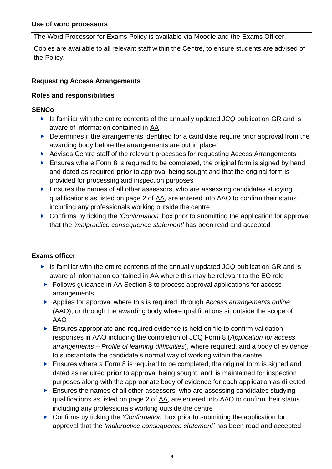<span id="page-5-0"></span>The Word Processor for Exams Policy is available via Moodle and the Exams Officer.

Copies are available to all relevant staff within the Centre, to ensure students are advised of the Policy.

## <span id="page-5-1"></span>**Requesting Access Arrangements**

### **Roles and responsibilities**

### **SENCo**

- <span id="page-5-2"></span> $\triangleright$  Is familiar with the entire contents of the annually updated JCQ publication [GR](http://www.jcq.org.uk/exams-office/general-regulations) and is aware of information contained in [AA](http://www.jcq.org.uk/exams-office/access-arrangements-and-special-consideration/regulations-and-guidance)
- ▶ Determines if the arrangements identified for a candidate require prior approval from the awarding body before the arrangements are put in place
- Advises Centre staff of the relevant processes for requesting Access Arrangements.
- $\blacktriangleright$  Ensures where Form 8 is required to be completed, the original form is signed by hand and dated as required **prior** to approval being sought and that the original form is provided for processing and inspection purposes
- Ensures the names of all other assessors, who are assessing candidates studying qualifications as listed on page 2 of [AA,](http://www.jcq.org.uk/exams-office/access-arrangements-and-special-consideration) are entered into AAO to confirm their status including any professionals working outside the centre
- Confirms by ticking the *'Confirmation'* box prior to submitting the application for approval that the *'malpractice consequence statement'* has been read and accepted

### **Exams officer**

- $\triangleright$  Is familiar with the entire contents of the annually updated JCQ publication [GR](http://www.jcq.org.uk/exams-office/general-regulations) and is aware of information contained in [AA](http://www.jcq.org.uk/exams-office/access-arrangements-and-special-consideration/regulations-and-guidance) where this may be relevant to the EO role
- ▶ Follows guidance in [AA](http://www.jcq.org.uk/exams-office/access-arrangements-and-special-consideration) Section 8 to process approval applications for access arrangements
- Applies for approval where this is required, through *Access arrangements online* (AAO), or through the awarding body where qualifications sit outside the scope of AAO
- Ensures appropriate and required evidence is held on file to confirm validation responses in AAO including the completion of JCQ Form 8 (*Application for access arrangements – Profile of learning difficulties*), where required, and a body of evidence to substantiate the candidate's normal way of working within the centre
- Ensures where a Form 8 is required to be completed, the original form is signed and dated as required **prior** to approval being sought, and is maintained for inspection purposes along with the appropriate body of evidence for each application as directed
- Ensures the names of all other assessors, who are assessing candidates studying qualifications as listed on page 2 of [AA,](http://www.jcq.org.uk/exams-office/access-arrangements-and-special-consideration) are entered into AAO to confirm their status including any professionals working outside the centre
- ▶ Confirms by ticking the *'Confirmation'* box prior to submitting the application for approval that the *'malpractice consequence statement'* has been read and accepted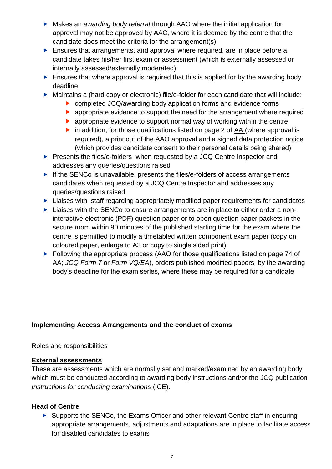- Makes an *awarding body referral* through AAO where the initial application for approval may not be approved by AAO, where it is deemed by the centre that the candidate does meet the criteria for the arrangement(s)
- Ensures that arrangements, and approval where required, are in place before a candidate takes his/her first exam or assessment (which is externally assessed or internally assessed/externally moderated)
- Ensures that where approval is required that this is applied for by the awarding body deadline
- Maintains a (hard copy or electronic) file/e-folder for each candidate that will include:
	- ▶ completed JCQ/awarding body application forms and evidence forms
	- **EX** appropriate evidence to support the need for the arrangement where required
	- **EX** appropriate evidence to support normal way of working within the centre
	- in addition, for those qualifications listed on page 2 of [AA](http://www.jcq.org.uk/exams-office/access-arrangements-and-special-consideration) (where approval is required), a print out of the AAO approval and a signed data protection notice (which provides candidate consent to their personal details being shared)
- Presents the files/e-folders when requested by a JCQ Centre Inspector and addresses any queries/questions raised
- If the SENCo is unavailable, presents the files/e-folders of access arrangements candidates when requested by a JCQ Centre Inspector and addresses any queries/questions raised
- **Liaises with staff regarding appropriately modified paper requirements for candidates**
- ► Liaises with the SENCo to ensure arrangements are in place to either order a noninteractive electronic (PDF) question paper or to open question paper packets in the secure room within 90 minutes of the published starting time for the exam where the centre is permitted to modify a timetabled written component exam paper (copy on coloured paper, enlarge to A3 or copy to single sided print)
- ▶ Following the appropriate process (AAO for those qualifications listed on page 74 of [AA;](http://www.jcq.org.uk/exams-office/access-arrangements-and-special-consideration) *JCQ Form 7* or *Form VQ/EA*), orders published modified papers, by the awarding body's deadline for the exam series, where these may be required for a candidate

### <span id="page-6-0"></span>**Implementing Access Arrangements and the conduct of exams**

<span id="page-6-1"></span>Roles and responsibilities

### <span id="page-6-2"></span>**External assessments**

These are assessments which are normally set and marked/examined by an awarding body which must be conducted according to awarding body instructions and/or the JCQ publication *[Instructions for conducting examinations](http://www.jcq.org.uk/exams-office/ice---instructions-for-conducting-examinations)* (ICE).

### **Head of Centre**

Supports the SENCo, the Exams Officer and other relevant Centre staff in ensuring appropriate arrangements, adjustments and adaptations are in place to facilitate access for disabled candidates to exams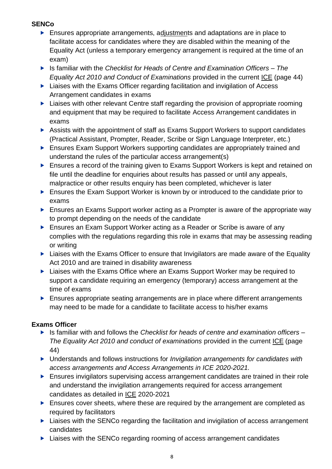### **SENCo**

- **Ensures appropriate arrangements, adjustments and adaptations are in place to** facilitate access for candidates where they are disabled within the meaning of the Equality Act (unless a temporary emergency arrangement is required at the time of an exam)
- Is familiar with the *Checklist for Heads of Centre and Examination Officers – The Equality Act 2010 and Conduct of Examinations* provided in the current [ICE](http://www.jcq.org.uk/exams-office/ice---instructions-for-conducting-examinations) (page 44)
- ▶ Liaises with the Exams Officer regarding facilitation and invigilation of Access Arrangement candidates in exams
- **Liaises with other relevant Centre staff regarding the provision of appropriate rooming** and equipment that may be required to facilitate Access Arrangement candidates in exams
- ▶ Assists with the appointment of staff as Exams Support Workers to support candidates (Practical Assistant, Prompter, Reader, Scribe or Sign Language Interpreter, etc.)
- **Ensures Exam Support Workers supporting candidates are appropriately trained and** understand the rules of the particular access arrangement(s)
- **Ensures a record of the training given to Exams Support Workers is kept and retained on** file until the deadline for enquiries about results has passed or until any appeals, malpractice or other results enquiry has been completed, whichever is later
- ▶ Ensures the Exam Support Worker is known by or introduced to the candidate prior to exams
- ▶ Ensures an Exams Support worker acting as a Prompter is aware of the appropriate way to prompt depending on the needs of the candidate
- ▶ Ensures an Exam Support Worker acting as a Reader or Scribe is aware of any complies with the regulations regarding this role in exams that may be assessing reading or writing
- ▶ Liaises with the Exams Officer to ensure that Invigilators are made aware of the Equality Act 2010 and are trained in disability awareness
- ▶ Liaises with the Exams Office where an Exams Support Worker may be required to support a candidate requiring an emergency (temporary) access arrangement at the time of exams
- Ensures appropriate seating arrangements are in place where different arrangements may need to be made for a candidate to facilitate access to his/her exams

### **Exams Officer**

- Is familiar with and follows the *Checklist for heads of centre and examination officers – The Equality Act 2010 and conduct of examinations* provided in the current [ICE](http://www.jcq.org.uk/exams-office/ice---instructions-for-conducting-examinations) (page 44)
- Understands and follows instructions for *Invigilation arrangements for candidates with access arrangements and Access Arrangements in ICE 2020-2021.*
- **Ensures invigilators supervising access arrangement candidates are trained in their role** and understand the invigilation arrangements required for access arrangement candidates as detailed in [ICE](http://www.jcq.org.uk/exams-office/ice---instructions-for-conducting-examinations) 2020-2021
- Ensures cover sheets, where these are required by the arrangement are completed as required by facilitators
- ▶ Liaises with the SENCo regarding the facilitation and invigilation of access arrangement candidates
- ▶ Liaises with the SENCo regarding rooming of access arrangement candidates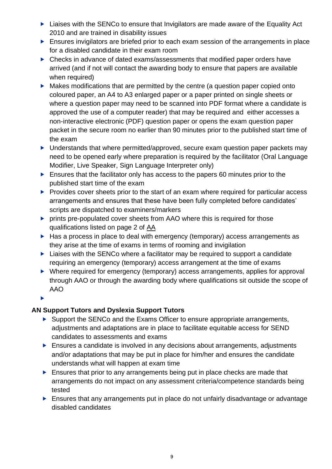- ▶ Liaises with the SENCo to ensure that Invigilators are made aware of the Equality Act 2010 and are trained in disability issues
- **Ensures invigilators are briefed prior to each exam session of the arrangements in place** for a disabled candidate in their exam room
- ▶ Checks in advance of dated exams/assessments that modified paper orders have arrived (and if not will contact the awarding body to ensure that papers are available when required)
- $\blacktriangleright$  Makes modifications that are permitted by the centre (a question paper copied onto coloured paper, an A4 to A3 enlarged paper or a paper printed on single sheets or where a question paper may need to be scanned into PDF format where a candidate is approved the use of a computer reader) that may be required and either accesses a non-interactive electronic (PDF) question paper or opens the exam question paper packet in the secure room no earlier than 90 minutes prior to the published start time of the exam
- ▶ Understands that where permitted/approved, secure exam question paper packets may need to be opened early where preparation is required by the facilitator (Oral Language Modifier, Live Speaker, Sign Language Interpreter only)
- Ensures that the facilitator only has access to the papers 60 minutes prior to the published start time of the exam
- $\blacktriangleright$  Provides cover sheets prior to the start of an exam where required for particular access arrangements and ensures that these have been fully completed before candidates' scripts are dispatched to examiners/markers
- **P** prints pre-populated cover sheets from AAO where this is required for those qualifications listed on page 2 of [AA](http://www.jcq.org.uk/exams-office/access-arrangements-and-special-consideration)
- $\blacktriangleright$  Has a process in place to deal with emergency (temporary) access arrangements as they arise at the time of exams in terms of rooming and invigilation
- $\blacktriangleright$  Liaises with the SENCo where a facilitator may be required to support a candidate requiring an emergency (temporary) access arrangement at the time of exams
- ▶ Where required for emergency (temporary) access arrangements, applies for approval through AAO or through the awarding body where qualifications sit outside the scope of AAO

 $\blacktriangleright$ 

### **AN Support Tutors and Dyslexia Support Tutors**

- Support the SENCo and the Exams Officer to ensure appropriate arrangements, adjustments and adaptations are in place to facilitate equitable access for SEND candidates to assessments and exams
- ▶ Ensures a candidate is involved in any decisions about arrangements, adjustments and/or adaptations that may be put in place for him/her and ensures the candidate understands what will happen at exam time
- Ensures that prior to any arrangements being put in place checks are made that arrangements do not impact on any assessment criteria/competence standards being tested
- Ensures that any arrangements put in place do not unfairly disadvantage or advantage disabled candidates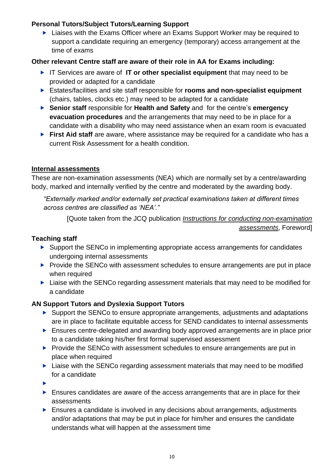### **Personal Tutors/Subject Tutors/Learning Support**

▶ Liaises with the Exams Officer where an Exams Support Worker may be required to support a candidate requiring an emergency (temporary) access arrangement at the time of exams

### **Other relevant Centre staff are aware of their role in AA for Exams including:**

- IT Services are aware of **IT or other specialist equipment** that may need to be provided or adapted for a candidate
- Estates/facilities and site staff responsible for **rooms and non-specialist equipment**  (chairs, tables, clocks etc.) may need to be adapted for a candidate
- **Senior staff** responsible for **Health and Safety** and for the centre's **emergency evacuation procedures** and the arrangements that may need to be in place for a candidate with a disability who may need assistance when an exam room is evacuated
- **First Aid staff** are aware, where assistance may be required for a candidate who has a current Risk Assessment for a health condition.

### <span id="page-9-0"></span>**Internal assessments**

These are non-examination assessments (NEA) which are normally set by a centre/awarding body, marked and internally verified by the centre and moderated by the awarding body.

*"Externally marked and/or externally set practical examinations taken at different times across centres are classified as 'NEA'."*

[Quote taken from the JCQ publication *[Instructions for conducting non-examination](http://www.jcq.org.uk/exams-office/non-examination-assessments)  [assessments](http://www.jcq.org.uk/exams-office/non-examination-assessments)*, Foreword]

### **Teaching staff**

- ▶ Support the SENCo in implementing appropriate access arrangements for candidates undergoing internal assessments
- $\blacktriangleright$  Provide the SENCo with assessment schedules to ensure arrangements are put in place when required
- ▶ Liaise with the SENCo regarding assessment materials that may need to be modified for a candidate

### **AN Support Tutors and Dyslexia Support Tutors**

- Support the SENCo to ensure appropriate arrangements, adjustments and adaptations are in place to facilitate equitable access for SEND candidates to internal assessments
- Ensures centre-delegated and awarding body approved arrangements are in place prior to a candidate taking his/her first formal supervised assessment
- $\blacktriangleright$  Provide the SENCo with assessment schedules to ensure arrangements are put in place when required
- ▶ Liaise with the SENCo regarding assessment materials that may need to be modified for a candidate
- $\blacktriangleright$
- **Ensures candidates are aware of the access arrangements that are in place for their** assessments
- Ensures a candidate is involved in any decisions about arrangements, adjustments and/or adaptations that may be put in place for him/her and ensures the candidate understands what will happen at the assessment time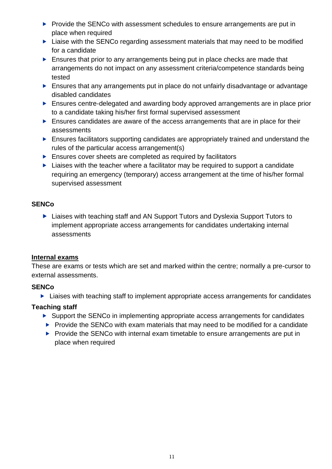- Provide the SENCo with assessment schedules to ensure arrangements are put in place when required
- $\blacktriangleright$  Liaise with the SENCo regarding assessment materials that may need to be modified for a candidate
- Ensures that prior to any arrangements being put in place checks are made that arrangements do not impact on any assessment criteria/competence standards being tested
- Ensures that any arrangements put in place do not unfairly disadvantage or advantage disabled candidates
- Ensures centre-delegated and awarding body approved arrangements are in place prior to a candidate taking his/her first formal supervised assessment
- Ensures candidates are aware of the access arrangements that are in place for their assessments
- Ensures facilitators supporting candidates are appropriately trained and understand the rules of the particular access arrangement(s)
- $\blacktriangleright$  Ensures cover sheets are completed as required by facilitators
- $\blacktriangleright$  Liaises with the teacher where a facilitator may be required to support a candidate requiring an emergency (temporary) access arrangement at the time of his/her formal supervised assessment

### **SENCo**

▶ Liaises with teaching staff and AN Support Tutors and Dyslexia Support Tutors to implement appropriate access arrangements for candidates undertaking internal assessments

### <span id="page-10-0"></span>**Internal exams**

These are exams or tests which are set and marked within the centre; normally a pre-cursor to external assessments.

### **SENCo**

▶ Liaises with teaching staff to implement appropriate access arrangements for candidates

### **Teaching staff**

- ▶ Support the SENCo in implementing appropriate access arrangements for candidates
- $\blacktriangleright$  Provide the SENCo with exam materials that may need to be modified for a candidate
- <span id="page-10-1"></span> $\blacktriangleright$  Provide the SENCo with internal exam timetable to ensure arrangements are put in place when required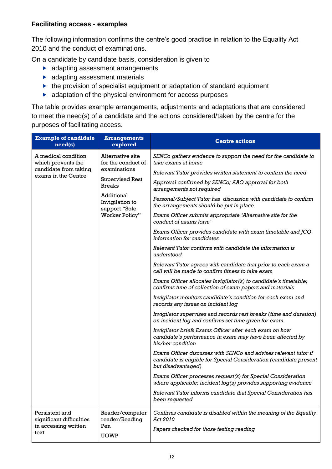#### **Facilitating access - examples**

The following information confirms the centre's good practice in relation to the Equality Act 2010 and the conduct of examinations.

On a candidate by candidate basis, consideration is given to

- **adapting assessment arrangements**
- **adapting assessment materials**
- $\blacktriangleright$  the provision of specialist equipment or adaptation of standard equipment
- $\blacktriangleright$  adaptation of the physical environment for access purposes

The table provides example arrangements, adjustments and adaptations that are considered to meet the need(s) of a candidate and the actions considered/taken by the centre for the purposes of facilitating access.

| <b>Example of candidate</b><br>need(s)                                                    | <b>Arrangements</b><br>explored                                                                                                                                       | <b>Centre actions</b>                                                                                                                                        |  |
|-------------------------------------------------------------------------------------------|-----------------------------------------------------------------------------------------------------------------------------------------------------------------------|--------------------------------------------------------------------------------------------------------------------------------------------------------------|--|
| A medical condition<br>which prevents the<br>candidate from taking<br>exams in the Centre | Alternative site<br>for the conduct of<br>examinations<br><b>Supervised Rest</b><br><b>Breaks</b><br>Additional<br>Invigilation to<br>support "Sole<br>Worker Policy" | SENCo gathers evidence to support the need for the candidate to<br>take exams at home                                                                        |  |
|                                                                                           |                                                                                                                                                                       | Relevant Tutor provides written statement to confirm the need                                                                                                |  |
|                                                                                           |                                                                                                                                                                       | Approval confirmed by SENCo; AAO approval for both<br>arrangements not required                                                                              |  |
|                                                                                           |                                                                                                                                                                       | Personal/Subject Tutor has discussion with candidate to confirm<br>the arrangements should be put in place                                                   |  |
|                                                                                           |                                                                                                                                                                       | Exams Officer submits appropriate 'Alternative site for the<br>conduct of exams form'                                                                        |  |
|                                                                                           |                                                                                                                                                                       | Exams Officer provides candidate with exam timetable and JCQ<br>information for candidates                                                                   |  |
|                                                                                           |                                                                                                                                                                       | Relevant Tutor confirms with candidate the information is<br>understood                                                                                      |  |
|                                                                                           |                                                                                                                                                                       | Relevant Tutor agrees with candidate that prior to each exam a<br>call will be made to confirm fitness to take exam                                          |  |
|                                                                                           |                                                                                                                                                                       | Exams Officer allocates Invigilator(s) to candidate's timetable;<br>confirms time of collection of exam papers and materials                                 |  |
|                                                                                           |                                                                                                                                                                       | Invigilator monitors candidate's condition for each exam and<br>records any issues on incident log                                                           |  |
|                                                                                           |                                                                                                                                                                       | Invigilator supervises and records rest breaks (time and duration)<br>on incident log and confirms set time given for exam                                   |  |
|                                                                                           |                                                                                                                                                                       | Invigilator briefs Exams Officer after each exam on how<br>candidate's performance in exam may have been affected by<br>his/her condition                    |  |
|                                                                                           |                                                                                                                                                                       | Exams Officer discusses with SENCo and advises relevant tutor if<br>candidate is eligible for Special Consideration (candidate present<br>but disadvantaged) |  |
|                                                                                           |                                                                                                                                                                       | Exams Officer processes request(s) for Special Consideration<br>where applicable; incident log(s) provides supporting evidence                               |  |
|                                                                                           |                                                                                                                                                                       | Relevant Tutor informs candidate that Special Consideration has<br>been requested                                                                            |  |
| Persistent and<br>significant difficulties<br>in accessing written<br>text                | Reader/computer<br>reader/Reading<br>Pen<br><b>UOWP</b>                                                                                                               | Confirms candidate is disabled within the meaning of the Equality<br>Act 2010<br>Papers checked for those testing reading                                    |  |